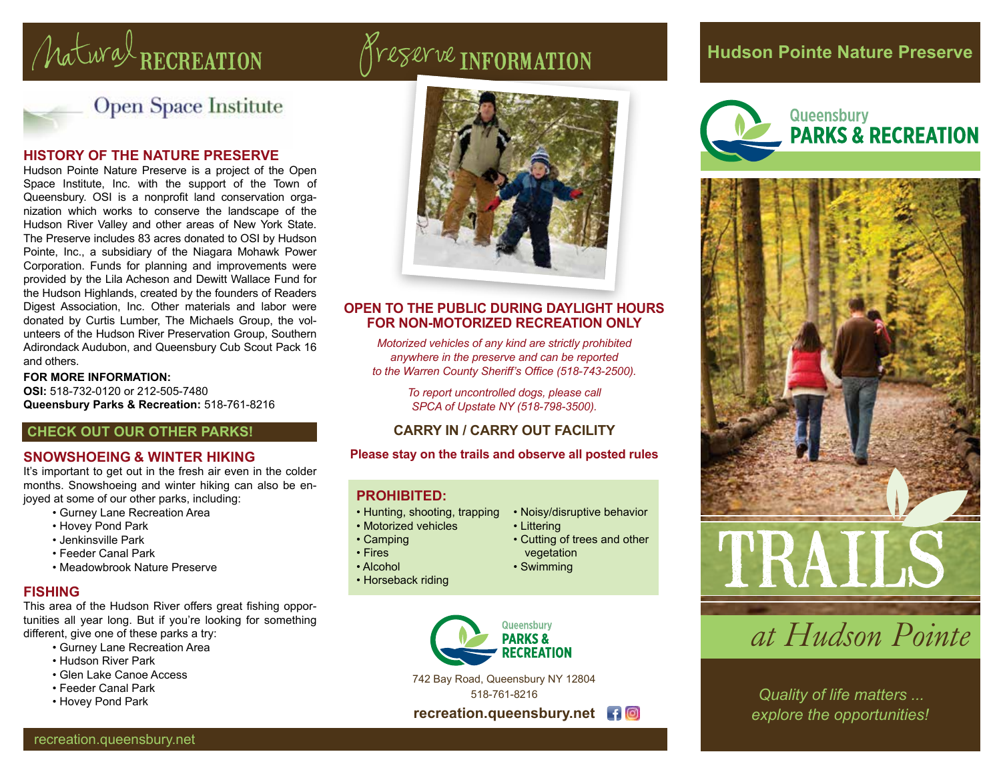# natural RECREATION Preserve INFORMATION



Open Space Institute

#### **HISTORY OF THE NATURE PRESERVE**

Hudson Pointe Nature Preserve is a project of the Open Space Institute, Inc. with the support of the Town of Queensbury. OSI is a nonprofit land conservation organization which works to conserve the landscape of the Hudson River Valley and other areas of New York State. The Preserve includes 83 acres donated to OSI by Hudson Pointe, Inc., a subsidiary of the Niagara Mohawk Power Corporation. Funds for planning and improvements were provided by the Lila Acheson and Dewitt Wallace Fund for the Hudson Highlands, created by the founders of Readers Digest Association, Inc. Other materials and labor were donated by Curtis Lumber, The Michaels Group, the volunteers of the Hudson River Preservation Group, Southern Adirondack Audubon, and Queensbury Cub Scout Pack 16 and others.

#### **FOR MORE INFORMATION:**

**OSI:** 518-732-0120 or 212-505-7480 **Queensbury Parks & Recreation:** 518-761-8216

#### **CHECK OUT OUR OTHER PARKS!**

#### **SNOWSHOEING & WINTER HIKING**

It's important to get out in the fresh air even in the colder months. Snowshoeing and winter hiking can also be enjoyed at some of our other parks, including:

- Gurney Lane Recreation Area
- Hovey Pond Park
- Jenkinsville Park
- Feeder Canal Park
- Meadowbrook Nature Preserve

#### **FISHING**

This area of the Hudson River offers great fishing opportunities all year long. But if you're looking for something different, give one of these parks a try:

- Gurney Lane Recreation Area
- Hudson River Park
- Glen Lake Canoe Access
- Feeder Canal Park
- 



#### **OPEN TO THE PUBLIC DURING DAYLIGHT HOURS FOR NON-MOTORIZED RECREATION ONLY**

*Motorized vehicles of any kind are strictly prohibited anywhere in the preserve and can be reported to the Warren County Sheriff's Office (518-743-2500).*

> *To report uncontrolled dogs, please call SPCA of Upstate NY (518-798-3500).*

#### **CARRY IN / CARRY OUT FACILITY**

**Please stay on the trails and observe all posted rules**

#### **PROHIBITED:**

- Hunting, shooting, trapping
- Motorized vehicles
- Camping
- Fires
- Alcohol
- Horseback riding



### **Hudson Pointe Nature Preserve**





### *at Hudson Pointe*

*explore the opportunities!*

recreation.queensbury.net

- Noisy/disruptive behavior
- Littering
	- Cutting of trees and other vegetation
	- Swimming